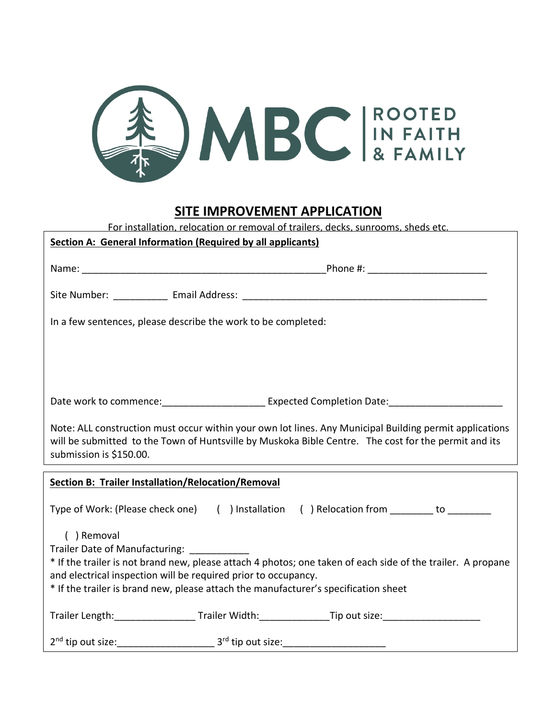

## **SITE IMPROVEMENT APPLICATION**

| For installation, relocation or removal of trailers, decks, sunrooms, sheds etc.                                                                                                                                                                                                                                     |                                                               |                                                                                                      |  |  |
|----------------------------------------------------------------------------------------------------------------------------------------------------------------------------------------------------------------------------------------------------------------------------------------------------------------------|---------------------------------------------------------------|------------------------------------------------------------------------------------------------------|--|--|
| Section A: General Information (Required by all applicants)                                                                                                                                                                                                                                                          |                                                               |                                                                                                      |  |  |
|                                                                                                                                                                                                                                                                                                                      |                                                               |                                                                                                      |  |  |
|                                                                                                                                                                                                                                                                                                                      |                                                               |                                                                                                      |  |  |
|                                                                                                                                                                                                                                                                                                                      |                                                               |                                                                                                      |  |  |
|                                                                                                                                                                                                                                                                                                                      |                                                               |                                                                                                      |  |  |
|                                                                                                                                                                                                                                                                                                                      | In a few sentences, please describe the work to be completed: |                                                                                                      |  |  |
|                                                                                                                                                                                                                                                                                                                      |                                                               |                                                                                                      |  |  |
|                                                                                                                                                                                                                                                                                                                      |                                                               |                                                                                                      |  |  |
|                                                                                                                                                                                                                                                                                                                      |                                                               |                                                                                                      |  |  |
|                                                                                                                                                                                                                                                                                                                      |                                                               |                                                                                                      |  |  |
|                                                                                                                                                                                                                                                                                                                      |                                                               |                                                                                                      |  |  |
|                                                                                                                                                                                                                                                                                                                      |                                                               | Date work to commence: _________________________ Expected Completion Date: _________________________ |  |  |
| Note: ALL construction must occur within your own lot lines. Any Municipal Building permit applications<br>will be submitted to the Town of Huntsville by Muskoka Bible Centre. The cost for the permit and its<br>submission is \$150.00.                                                                           |                                                               |                                                                                                      |  |  |
|                                                                                                                                                                                                                                                                                                                      |                                                               |                                                                                                      |  |  |
| <b>Section B: Trailer Installation/Relocation/Removal</b>                                                                                                                                                                                                                                                            |                                                               |                                                                                                      |  |  |
|                                                                                                                                                                                                                                                                                                                      |                                                               | Type of Work: (Please check one) ( ) Installation ( ) Relocation from _______ to _________           |  |  |
| () Removal<br>Trailer Date of Manufacturing:<br>* If the trailer is not brand new, please attach 4 photos; one taken of each side of the trailer. A propane<br>and electrical inspection will be required prior to occupancy.<br>* If the trailer is brand new, please attach the manufacturer's specification sheet |                                                               |                                                                                                      |  |  |
|                                                                                                                                                                                                                                                                                                                      |                                                               | Trailer Length: Trailer Width: Trailer Width: Tip out size:                                          |  |  |
| 2 <sup>nd</sup> tip out size:                                                                                                                                                                                                                                                                                        | 3 <sup>rd</sup> tip out size:                                 |                                                                                                      |  |  |

\_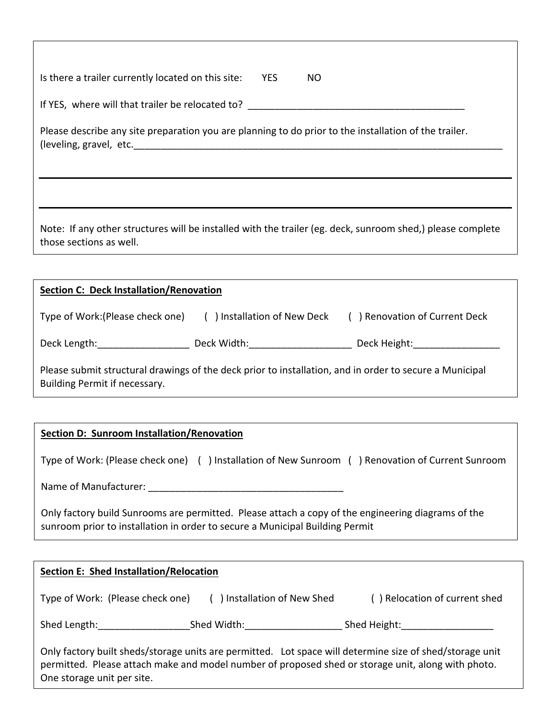| Is there a trailer currently located on this site: | <b>YES</b> | NO. |
|----------------------------------------------------|------------|-----|
|----------------------------------------------------|------------|-----|

If YES, where will that trailer be relocated to? \_\_\_\_\_\_\_\_\_\_\_\_\_\_\_\_\_\_\_\_\_\_\_\_\_\_\_\_\_\_\_\_

Please describe any site preparation you are planning to do prior to the installation of the trailer. (leveling, gravel, etc.

Note: If any other structures will be installed with the trailer (eg. deck, sunroom shed,) please complete those sections as well.

| <b>Section C: Deck Installation/Renovation</b>                                                                                           |             |                                                                                                                                                                                                                                |  |  |
|------------------------------------------------------------------------------------------------------------------------------------------|-------------|--------------------------------------------------------------------------------------------------------------------------------------------------------------------------------------------------------------------------------|--|--|
| Type of Work: (Please check one) () Installation of New Deck                                                                             |             | ) Renovation of Current Deck                                                                                                                                                                                                   |  |  |
| Deck Length:                                                                                                                             | Deck Width: | Deck Height: The control of the control of the control of the control of the control of the control of the control of the control of the control of the control of the control of the control of the control of the control of |  |  |
| Please submit structural drawings of the deck prior to installation, and in order to secure a Municipal<br>Building Permit if necessary. |             |                                                                                                                                                                                                                                |  |  |

## **Section D: Sunroom Installation/Renovation**

| Type of Work: (Please check one) () Installation of New Sunroom                                                | ) Renovation of Current Sunroom |
|----------------------------------------------------------------------------------------------------------------|---------------------------------|
| Name of Manufacturer:                                                                                          |                                 |
| الموالية ومستحدثات والمتحدث والمستحدث والمستحدث والمحللة ومحمل المتطلبين والمستحدث ومستحدثات المتحدث والمتارين |                                 |

Only factory build Sunrooms are permitted. Please attach a copy of the engineering diagrams of the sunroom prior to installation in order to secure a Municipal Building Permit

| <b>Section E: Shed Installation/Relocation</b>                                                                                                                                                                                               |                             |                               |  |  |
|----------------------------------------------------------------------------------------------------------------------------------------------------------------------------------------------------------------------------------------------|-----------------------------|-------------------------------|--|--|
| Type of Work: (Please check one)                                                                                                                                                                                                             | () Installation of New Shed | () Relocation of current shed |  |  |
| Shed Length:                                                                                                                                                                                                                                 | Shed Width:                 | Shed Height:                  |  |  |
| Only factory built sheds/storage units are permitted. Lot space will determine size of shed/storage unit<br>permitted. Please attach make and model number of proposed shed or storage unit, along with photo.<br>One storage unit per site. |                             |                               |  |  |